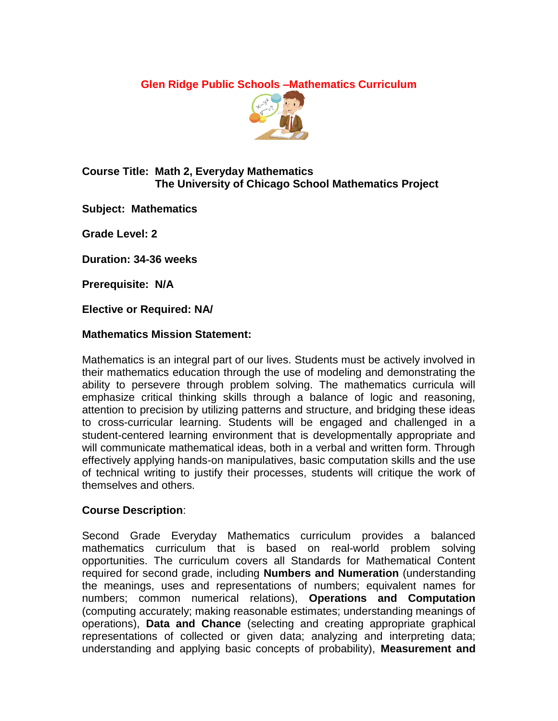**Glen Ridge Public Schools –Mathematics Curriculum** 



# **Course Title: Math 2, Everyday Mathematics The University of Chicago School Mathematics Project**

**Subject: Mathematics**

**Grade Level: 2**

**Duration: 34-36 weeks**

**Prerequisite: N/A**

**Elective or Required: NA/**

### **Mathematics Mission Statement:**

Mathematics is an integral part of our lives. Students must be actively involved in their mathematics education through the use of modeling and demonstrating the ability to persevere through problem solving. The mathematics curricula will emphasize critical thinking skills through a balance of logic and reasoning, attention to precision by utilizing patterns and structure, and bridging these ideas to cross-curricular learning. Students will be engaged and challenged in a student-centered learning environment that is developmentally appropriate and will communicate mathematical ideas, both in a verbal and written form. Through effectively applying hands-on manipulatives, basic computation skills and the use of technical writing to justify their processes, students will critique the work of themselves and others.

# **Course Description**:

Second Grade Everyday Mathematics curriculum provides a balanced mathematics curriculum that is based on real-world problem solving opportunities. The curriculum covers all Standards for Mathematical Content required for second grade, including **Numbers and Numeration** (understanding the meanings, uses and representations of numbers; equivalent names for numbers; common numerical relations), **Operations and Computation** (computing accurately; making reasonable estimates; understanding meanings of operations), **Data and Chance** (selecting and creating appropriate graphical representations of collected or given data; analyzing and interpreting data; understanding and applying basic concepts of probability), **Measurement and**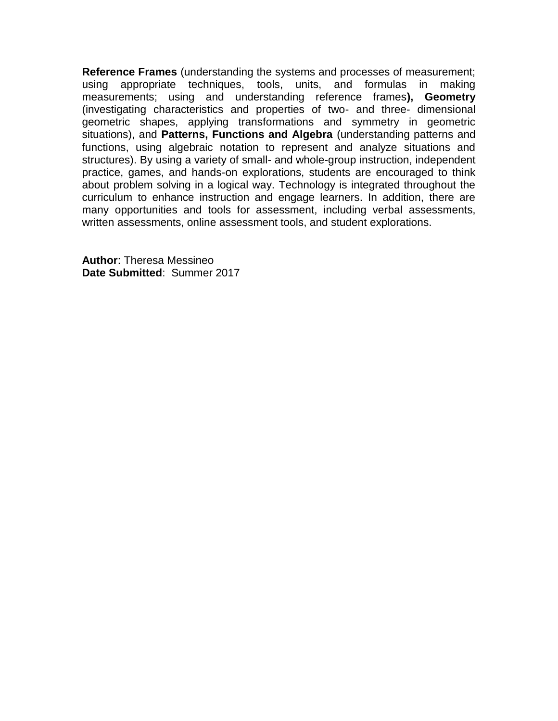**Reference Frames** (understanding the systems and processes of measurement; using appropriate techniques, tools, units, and formulas in making measurements; using and understanding reference frames**), Geometry** (investigating characteristics and properties of two- and three- dimensional geometric shapes, applying transformations and symmetry in geometric situations), and **Patterns, Functions and Algebra** (understanding patterns and functions, using algebraic notation to represent and analyze situations and structures). By using a variety of small- and whole-group instruction, independent practice, games, and hands-on explorations, students are encouraged to think about problem solving in a logical way. Technology is integrated throughout the curriculum to enhance instruction and engage learners. In addition, there are many opportunities and tools for assessment, including verbal assessments, written assessments, online assessment tools, and student explorations.

**Author**: Theresa Messineo **Date Submitted**: Summer 2017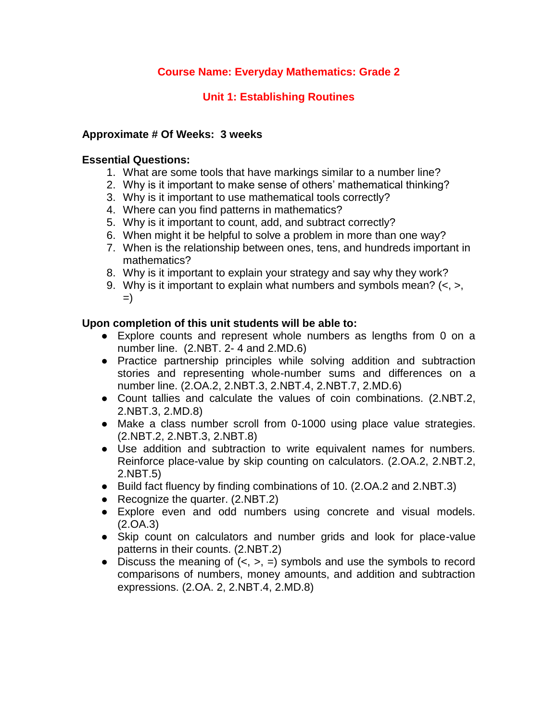# **Unit 1: Establishing Routines**

## **Approximate # Of Weeks: 3 weeks**

#### **Essential Questions:**

- 1. What are some tools that have markings similar to a number line?
- 2. Why is it important to make sense of others' mathematical thinking?
- 3. Why is it important to use mathematical tools correctly?
- 4. Where can you find patterns in mathematics?
- 5. Why is it important to count, add, and subtract correctly?
- 6. When might it be helpful to solve a problem in more than one way?
- 7. When is the relationship between ones, tens, and hundreds important in mathematics?
- 8. Why is it important to explain your strategy and say why they work?
- 9. Why is it important to explain what numbers and symbols mean?  $\left\langle \langle , \rangle \right\rangle$ =)

#### **Upon completion of this unit students will be able to:**

- Explore counts and represent whole numbers as lengths from 0 on a number line. (2.NBT. 2- 4 and 2.MD.6)
- Practice partnership principles while solving addition and subtraction stories and representing whole-number sums and differences on a number line. (2.OA.2, 2.NBT.3, 2.NBT.4, 2.NBT.7, 2.MD.6)
- Count tallies and calculate the values of coin combinations. (2.NBT.2, 2.NBT.3, 2.MD.8)
- Make a class number scroll from 0-1000 using place value strategies. (2.NBT.2, 2.NBT.3, 2.NBT.8)
- Use addition and subtraction to write equivalent names for numbers. Reinforce place-value by skip counting on calculators. (2.OA.2, 2.NBT.2, 2.NBT.5)
- Build fact fluency by finding combinations of 10. (2.OA.2 and 2.NBT.3)
- Recognize the quarter. (2.NBT.2)
- Explore even and odd numbers using concrete and visual models. (2.OA.3)
- Skip count on calculators and number grids and look for place-value patterns in their counts. (2.NBT.2)
- Discuss the meaning of  $(<, >, =)$  symbols and use the symbols to record comparisons of numbers, money amounts, and addition and subtraction expressions. (2.OA. 2, 2.NBT.4, 2.MD.8)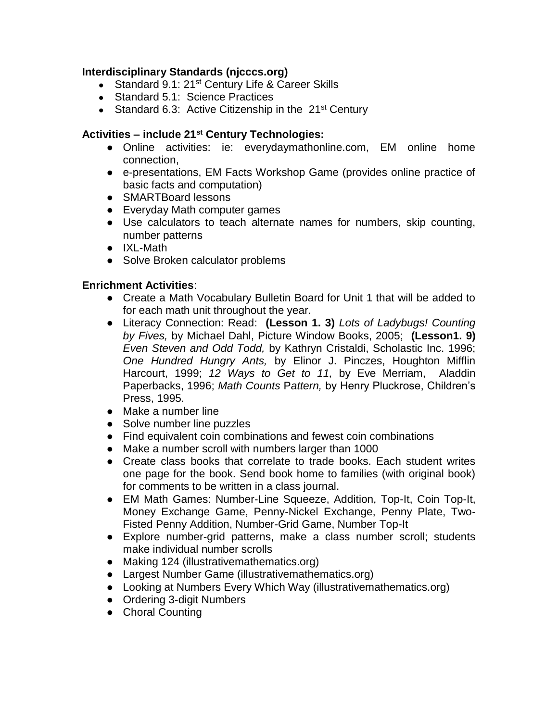### **Interdisciplinary Standards (njcccs.org)**

- Standard 9.1: 21<sup>st</sup> Century Life & Career Skills
- Standard 5.1: Science Practices
- Standard 6.3: Active Citizenship in the  $21<sup>st</sup>$  Century

#### **Activities – include 21st Century Technologies:**

- Online activities: ie: everydaymathonline.com, EM online home connection,
- e-presentations, EM Facts Workshop Game (provides online practice of basic facts and computation)
- SMARTBoard lessons
- Everyday Math computer games
- Use calculators to teach alternate names for numbers, skip counting, number patterns
- IXL-Math
- Solve Broken calculator problems

#### **Enrichment Activities**:

- Create a Math Vocabulary Bulletin Board for Unit 1 that will be added to for each math unit throughout the year.
- Literacy Connection: Read: **(Lesson 1. 3)** *Lots of Ladybugs! Counting by Fives,* by Michael Dahl, Picture Window Books, 2005; **(Lesson1. 9)**  *Even Steven and Odd Todd,* by Kathryn Cristaldi, Scholastic Inc. 1996; *One Hundred Hungry Ants,* by Elinor J. Pinczes, Houghton Mifflin Harcourt, 1999; *12 Ways to Get to 11,* by Eve Merriam, Aladdin Paperbacks, 1996; *Math Counts* P*attern,* by Henry Pluckrose, Children's Press, 1995.
- Make a number line
- Solve number line puzzles
- Find equivalent coin combinations and fewest coin combinations
- Make a number scroll with numbers larger than 1000
- Create class books that correlate to trade books. Each student writes one page for the book. Send book home to families (with original book) for comments to be written in a class journal.
- EM Math Games: Number-Line Squeeze, Addition, Top-It, Coin Top-It, Money Exchange Game, Penny-Nickel Exchange, Penny Plate, Two-Fisted Penny Addition, Number-Grid Game, Number Top-It
- Explore number-grid patterns, make a class number scroll; students make individual number scrolls
- Making 124 (illustrativemathematics.org)
- Largest Number Game (illustrativemathematics.org)
- Looking at Numbers Every Which Way (illustrativemathematics.org)
- Ordering 3-digit Numbers
- Choral Counting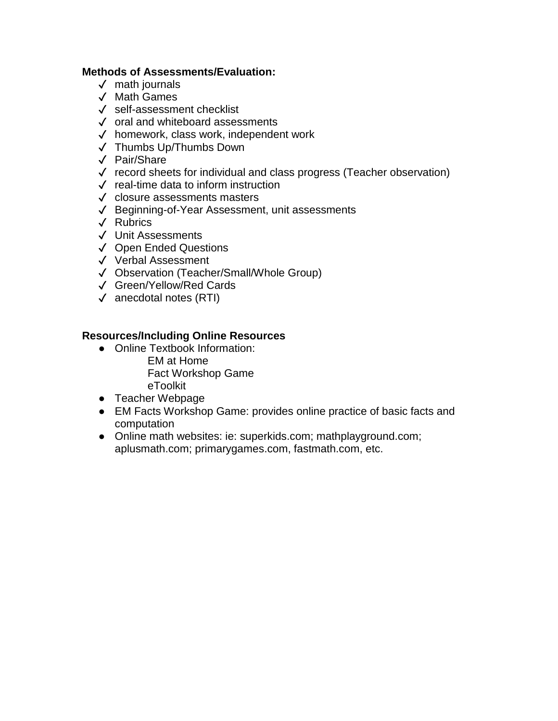### **Methods of Assessments/Evaluation:**

- ✓ math journals
- ✓ Math Games
- ✓ self-assessment checklist
- ✓ oral and whiteboard assessments
- ✓ homework, class work, independent work
- ✓ Thumbs Up/Thumbs Down
- ✓ Pair/Share
- ✓ record sheets for individual and class progress (Teacher observation)
- ✓ real-time data to inform instruction
- ✓ closure assessments masters
- ✓ Beginning-of-Year Assessment, unit assessments
- ✓ Rubrics
- ✓ Unit Assessments
- ✓ Open Ended Questions
- ✓ Verbal Assessment
- ✓ Observation (Teacher/Small/Whole Group)
- ✓ Green/Yellow/Red Cards
- ✓ anecdotal notes (RTI)

- Online Textbook Information:
	- EM at Home Fact Workshop Game eToolkit
- Teacher Webpage
- EM Facts Workshop Game: provides online practice of basic facts and computation
- Online math websites: ie: superkids.com; mathplayground.com; aplusmath.com; primarygames.com, fastmath.com, etc.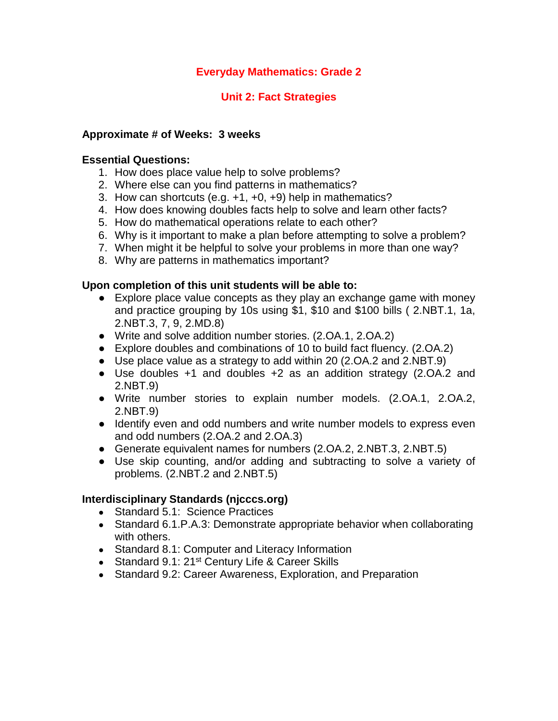# **Everyday Mathematics: Grade 2**

## **Unit 2: Fact Strategies**

#### **Approximate # of Weeks: 3 weeks**

#### **Essential Questions:**

- 1. How does place value help to solve problems?
- 2. Where else can you find patterns in mathematics?
- 3. How can shortcuts (e.g. +1, +0, +9) help in mathematics?
- 4. How does knowing doubles facts help to solve and learn other facts?
- 5. How do mathematical operations relate to each other?
- 6. Why is it important to make a plan before attempting to solve a problem?
- 7. When might it be helpful to solve your problems in more than one way?
- 8. Why are patterns in mathematics important?

#### **Upon completion of this unit students will be able to:**

- Explore place value concepts as they play an exchange game with money and practice grouping by 10s using \$1, \$10 and \$100 bills ( 2.NBT.1, 1a, 2.NBT.3, 7, 9, 2.MD.8)
- Write and solve addition number stories. (2.OA.1, 2.OA.2)
- Explore doubles and combinations of 10 to build fact fluency. (2.OA.2)
- Use place value as a strategy to add within 20 (2.OA.2 and 2.NBT.9)
- Use doubles +1 and doubles +2 as an addition strategy (2.OA.2 and 2.NBT.9)
- Write number stories to explain number models. (2.OA.1, 2.OA.2, 2.NBT.9)
- Identify even and odd numbers and write number models to express even and odd numbers (2.OA.2 and 2.OA.3)
- Generate equivalent names for numbers (2.OA.2, 2.NBT.3, 2.NBT.5)
- Use skip counting, and/or adding and subtracting to solve a variety of problems. (2.NBT.2 and 2.NBT.5)

- Standard 5.1: Science Practices
- Standard 6.1. P.A.3: Demonstrate appropriate behavior when collaborating with others.
- Standard 8.1: Computer and Literacy Information
- Standard 9.1: 21<sup>st</sup> Century Life & Career Skills
- Standard 9.2: Career Awareness, Exploration, and Preparation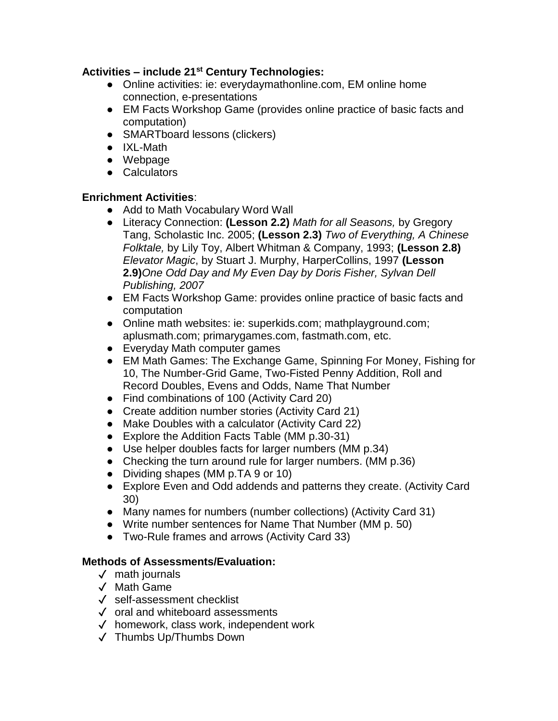- Online activities: ie: everydaymathonline.com, EM online home connection, e-presentations
- EM Facts Workshop Game (provides online practice of basic facts and computation)
- SMARTboard lessons (clickers)
- IXL-Math
- Webpage
- Calculators

### **Enrichment Activities**:

- Add to Math Vocabulary Word Wall
- Literacy Connection: **(Lesson 2.2)** *Math for all Seasons,* by Gregory Tang, Scholastic Inc. 2005; **(Lesson 2.3)** *Two of Everything, A Chinese Folktale,* by Lily Toy, Albert Whitman & Company, 1993; **(Lesson 2.8)** *Elevator Magic*, by Stuart J. Murphy, HarperCollins, 1997 **(Lesson 2.9)***One Odd Day and My Even Day by Doris Fisher, Sylvan Dell Publishing, 2007*
- EM Facts Workshop Game: provides online practice of basic facts and computation
- Online math websites: ie: superkids.com; mathplayground.com; aplusmath.com; primarygames.com, fastmath.com, etc.
- Everyday Math computer games
- EM Math Games: The Exchange Game, Spinning For Money, Fishing for 10, The Number-Grid Game, Two-Fisted Penny Addition, Roll and Record Doubles, Evens and Odds, Name That Number
- Find combinations of 100 (Activity Card 20)
- Create addition number stories (Activity Card 21)
- Make Doubles with a calculator (Activity Card 22)
- Explore the Addition Facts Table (MM p.30-31)
- Use helper doubles facts for larger numbers (MM p.34)
- Checking the turn around rule for larger numbers. (MM p.36)
- Dividing shapes (MM p.TA 9 or 10)
- Explore Even and Odd addends and patterns they create. (Activity Card 30)
- Many names for numbers (number collections) (Activity Card 31)
- Write number sentences for Name That Number (MM p. 50)
- Two-Rule frames and arrows (Activity Card 33)

- ✓ math journals
- ✓ Math Game
- ✓ self-assessment checklist
- ✓ oral and whiteboard assessments
- ✓ homework, class work, independent work
- ✓ Thumbs Up/Thumbs Down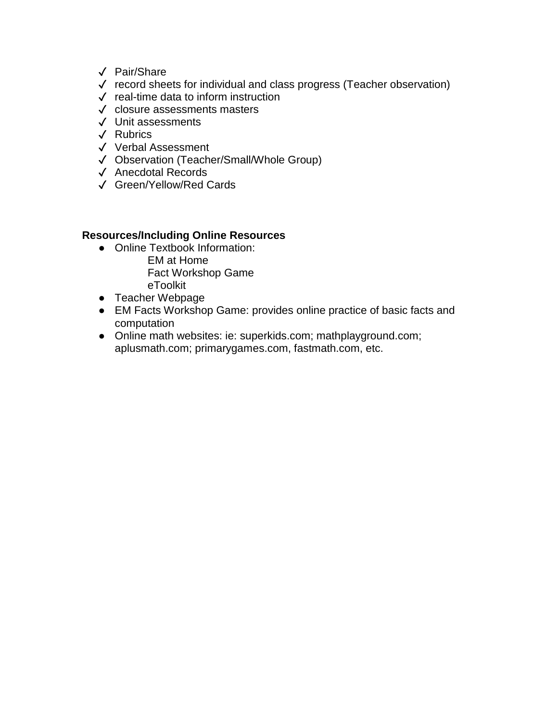- ✓ Pair/Share
- ✓ record sheets for individual and class progress (Teacher observation)
- ✓ real-time data to inform instruction
- ✓ closure assessments masters
- ✓ Unit assessments
- ✓ Rubrics
- ✓ Verbal Assessment
- ✓ Observation (Teacher/Small/Whole Group)
- ✓ Anecdotal Records
- ✓ Green/Yellow/Red Cards

- Online Textbook Information:
	- EM at Home Fact Workshop Game eToolkit
- Teacher Webpage
- EM Facts Workshop Game: provides online practice of basic facts and computation
- Online math websites: ie: superkids.com; mathplayground.com; aplusmath.com; primarygames.com, fastmath.com, etc.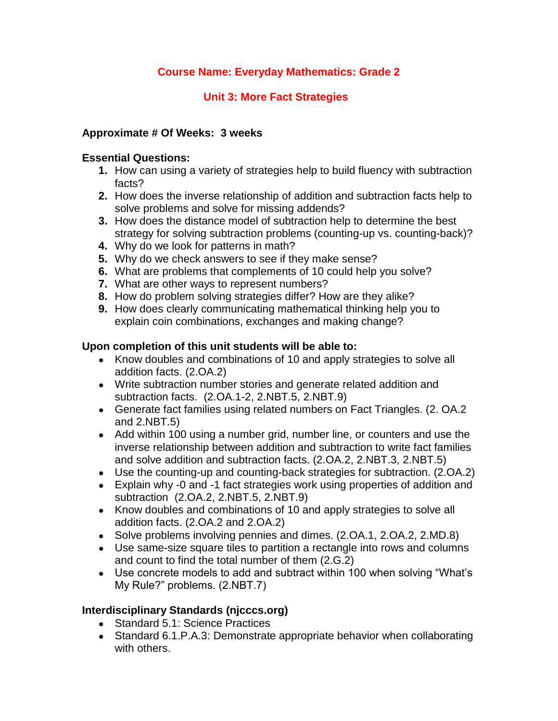# **Unit 3: More Fact Strategies**

# **Approximate # Of Weeks: 3 weeks**

# **Essential Questions:**

- **1.** How can using a variety of strategies help to build fluency with subtraction facts?
- **2.** How does the inverse relationship of addition and subtraction facts help to solve problems and solve for missing addends?
- **3.** How does the distance model of subtraction help to determine the best strategy for solving subtraction problems (counting-up vs. counting-back)?
- **4.** Why do we look for patterns in math?
- **5.** Why do we check answers to see if they make sense?
- **6.** What are problems that complements of 10 could help you solve?
- **7.** What are other ways to represent numbers?
- **8.** How do problem solving strategies differ? How are they alike?
- **9.** How does clearly communicating mathematical thinking help you to explain coin combinations, exchanges and making change?

### **Upon completion of this unit students will be able to:**

- Know doubles and combinations of 10 and apply strategies to solve all addition facts. (2.OA.2)
- Write subtraction number stories and generate related addition and subtraction facts. (2.OA.1-2, 2.NBT.5, 2.NBT.9)
- Generate fact families using related numbers on Fact Triangles. (2. OA.2 and 2.NBT.5)
- Add within 100 using a number grid, number line, or counters and use the inverse relationship between addition and subtraction to write fact families and solve addition and subtraction facts. (2.OA.2, 2.NBT.3, 2.NBT.5)
- Use the counting-up and counting-back strategies for subtraction. (2.OA.2)
- Explain why -0 and -1 fact strategies work using properties of addition and subtraction (2.OA.2, 2.NBT.5, 2.NBT.9)
- Know doubles and combinations of 10 and apply strategies to solve all addition facts. (2.OA.2 and 2.OA.2)
- Solve problems involving pennies and dimes. (2.OA.1, 2.OA.2, 2.MD.8)
- Use same-size square tiles to partition a rectangle into rows and columns and count to find the total number of them (2.G.2)
- Use concrete models to add and subtract within 100 when solving "What's My Rule?" problems. (2.NBT.7)

- Standard 5.1: Science Practices
- Standard 6.1. P.A.3: Demonstrate appropriate behavior when collaborating with others.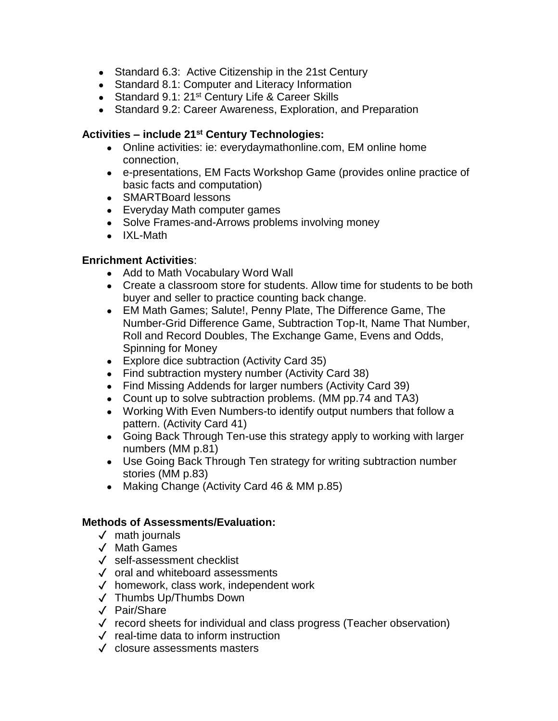- Standard 6.3: Active Citizenship in the 21st Century
- Standard 8.1: Computer and Literacy Information
- Standard 9.1: 21<sup>st</sup> Century Life & Career Skills
- Standard 9.2: Career Awareness, Exploration, and Preparation

- Online activities: ie: everydaymathonline.com, EM online home connection,
- e-presentations, EM Facts Workshop Game (provides online practice of basic facts and computation)
- SMARTBoard lessons
- Everyday Math computer games
- Solve Frames-and-Arrows problems involving money
- IXL-Math

### **Enrichment Activities**:

- Add to Math Vocabulary Word Wall
- Create a classroom store for students. Allow time for students to be both buyer and seller to practice counting back change.
- EM Math Games; Salute!, Penny Plate, The Difference Game, The Number-Grid Difference Game, Subtraction Top-It, Name That Number, Roll and Record Doubles, The Exchange Game, Evens and Odds, Spinning for Money
- Explore dice subtraction (Activity Card 35)
- Find subtraction mystery number (Activity Card 38)
- Find Missing Addends for larger numbers (Activity Card 39)
- Count up to solve subtraction problems. (MM pp.74 and TA3)
- Working With Even Numbers-to identify output numbers that follow a pattern. (Activity Card 41)
- Going Back Through Ten-use this strategy apply to working with larger numbers (MM p.81)
- Use Going Back Through Ten strategy for writing subtraction number stories (MM p.83)
- Making Change (Activity Card 46 & MM p.85)

- ✓ math journals
- ✓ Math Games
- ✓ self-assessment checklist
- ✓ oral and whiteboard assessments
- ✓ homework, class work, independent work
- ✓ Thumbs Up/Thumbs Down
- ✓ Pair/Share
- ✓ record sheets for individual and class progress (Teacher observation)
- ✓ real-time data to inform instruction
- ✓ closure assessments masters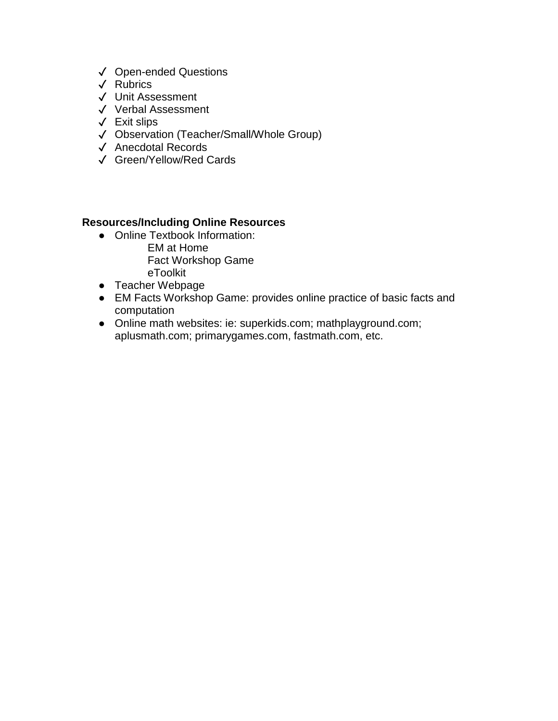- ✓ Open-ended Questions
- ✓ Rubrics
- ✓ Unit Assessment
- ✓ Verbal Assessment
- ✓ Exit slips
- ✓ Observation (Teacher/Small/Whole Group)
- ✓ Anecdotal Records
- ✓ Green/Yellow/Red Cards

- Online Textbook Information: EM at Home Fact Workshop Game eToolkit
- Teacher Webpage
- EM Facts Workshop Game: provides online practice of basic facts and computation
- Online math websites: ie: superkids.com; mathplayground.com; aplusmath.com; primarygames.com, fastmath.com, etc.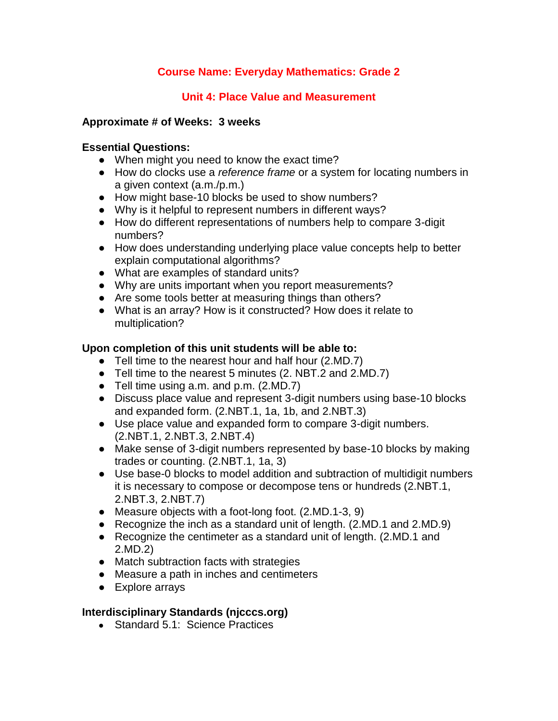# **Unit 4: Place Value and Measurement**

### **Approximate # of Weeks: 3 weeks**

### **Essential Questions:**

- When might you need to know the exact time?
- How do clocks use a *reference frame* or a system for locating numbers in a given context (a.m./p.m.)
- How might base-10 blocks be used to show numbers?
- Why is it helpful to represent numbers in different ways?
- How do different representations of numbers help to compare 3-digit numbers?
- How does understanding underlying place value concepts help to better explain computational algorithms?
- What are examples of standard units?
- Why are units important when you report measurements?
- Are some tools better at measuring things than others?
- What is an array? How is it constructed? How does it relate to multiplication?

# **Upon completion of this unit students will be able to:**

- Tell time to the nearest hour and half hour (2.MD.7)
- Tell time to the nearest 5 minutes (2. NBT.2 and 2.MD.7)
- Tell time using a.m. and p.m. (2.MD.7)
- Discuss place value and represent 3-digit numbers using base-10 blocks and expanded form. (2.NBT.1, 1a, 1b, and 2.NBT.3)
- Use place value and expanded form to compare 3-digit numbers. (2.NBT.1, 2.NBT.3, 2.NBT.4)
- Make sense of 3-digit numbers represented by base-10 blocks by making trades or counting. (2.NBT.1, 1a, 3)
- Use base-0 blocks to model addition and subtraction of multidigit numbers it is necessary to compose or decompose tens or hundreds (2.NBT.1, 2.NBT.3, 2.NBT.7)
- Measure objects with a foot-long foot. (2.MD.1-3, 9)
- Recognize the inch as a standard unit of length. (2.MD.1 and 2.MD.9)
- Recognize the centimeter as a standard unit of length. (2.MD.1 and 2.MD.2)
- Match subtraction facts with strategies
- Measure a path in inches and centimeters
- Explore arrays

# **Interdisciplinary Standards (njcccs.org)**

● Standard 5.1: Science Practices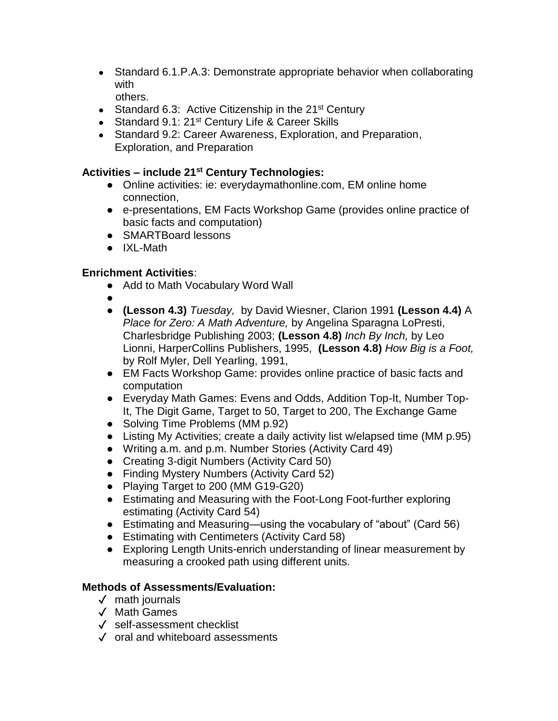- Standard 6.1.P.A.3: Demonstrate appropriate behavior when collaborating with others.
- Standard 6.3: Active Citizenship in the  $21<sup>st</sup>$  Century
- Standard 9.1: 21<sup>st</sup> Century Life & Career Skills
- Standard 9.2: Career Awareness, Exploration, and Preparation, Exploration, and Preparation

- Online activities: ie: everydaymathonline.com, EM online home connection,
- e-presentations, EM Facts Workshop Game (provides online practice of basic facts and computation)
- SMARTBoard lessons
- IXL-Math

### **Enrichment Activities**:

- Add to Math Vocabulary Word Wall
- ●
- **(Lesson 4.3)** *Tuesday,* by David Wiesner, Clarion 1991 **(Lesson 4.4)** A *Place for Zero: A Math Adventure,* by Angelina Sparagna LoPresti, Charlesbridge Publishing 2003; **(Lesson 4.8)** *Inch By Inch,* by Leo Lionni, HarperCollins Publishers, 1995, **(Lesson 4.8)** *How Big is a Foot,*  by Rolf Myler, Dell Yearling, 1991,
- EM Facts Workshop Game: provides online practice of basic facts and computation
- Everyday Math Games: Evens and Odds, Addition Top-It, Number Top-It, The Digit Game, Target to 50, Target to 200, The Exchange Game
- Solving Time Problems (MM p.92)
- Listing My Activities; create a daily activity list w/elapsed time (MM p.95)
- Writing a.m. and p.m. Number Stories (Activity Card 49)
- Creating 3-digit Numbers (Activity Card 50)
- Finding Mystery Numbers (Activity Card 52)
- Playing Target to 200 (MM G19-G20)
- Estimating and Measuring with the Foot-Long Foot-further exploring estimating (Activity Card 54)
- Estimating and Measuring—using the vocabulary of "about" (Card 56)
- Estimating with Centimeters (Activity Card 58)
- Exploring Length Units-enrich understanding of linear measurement by measuring a crooked path using different units.

- ✓ math journals
- ✓ Math Games
- ✓ self-assessment checklist
- ✓ oral and whiteboard assessments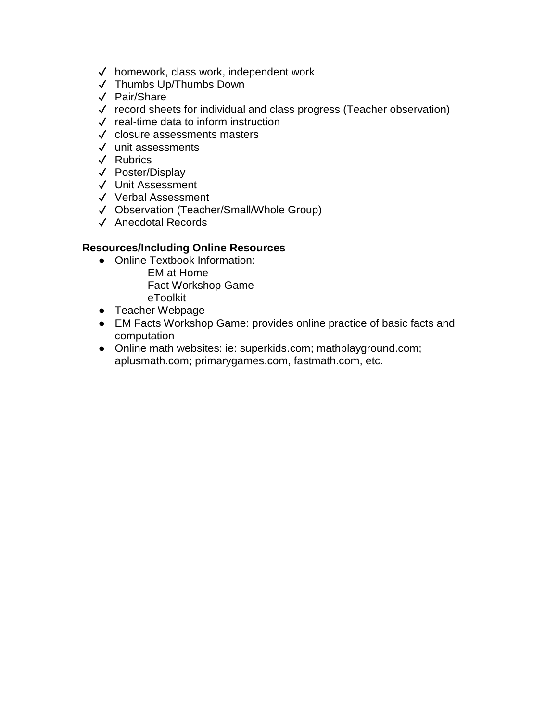- ✓ homework, class work, independent work
- ✓ Thumbs Up/Thumbs Down
- ✓ Pair/Share
- ✓ record sheets for individual and class progress (Teacher observation)
- ✓ real-time data to inform instruction
- ✓ closure assessments masters
- ✓ unit assessments
- ✓ Rubrics
- ✓ Poster/Display
- ✓ Unit Assessment
- ✓ Verbal Assessment
- ✓ Observation (Teacher/Small/Whole Group)
- ✓ Anecdotal Records

- Online Textbook Information: EM at Home Fact Workshop Game
	- eToolkit
- Teacher Webpage
- EM Facts Workshop Game: provides online practice of basic facts and computation
- Online math websites: ie: superkids.com; mathplayground.com; aplusmath.com; primarygames.com, fastmath.com, etc.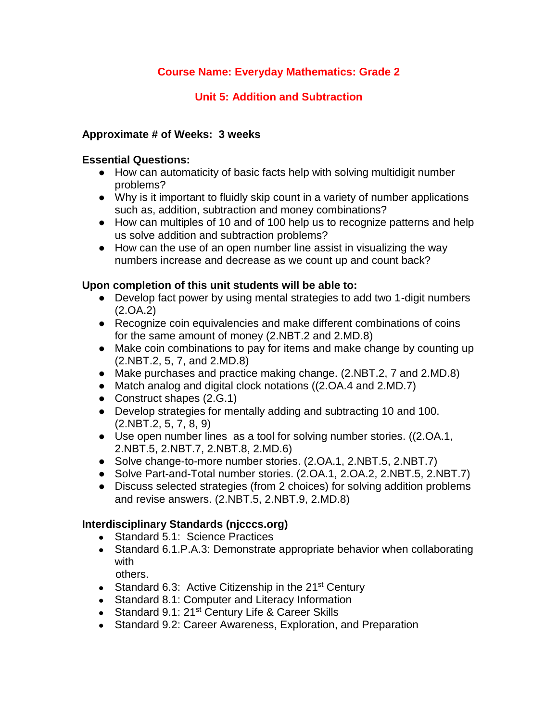# **Unit 5: Addition and Subtraction**

### **Approximate # of Weeks: 3 weeks**

#### **Essential Questions:**

- How can automaticity of basic facts help with solving multidigit number problems?
- Why is it important to fluidly skip count in a variety of number applications such as, addition, subtraction and money combinations?
- How can multiples of 10 and of 100 help us to recognize patterns and help us solve addition and subtraction problems?
- How can the use of an open number line assist in visualizing the way numbers increase and decrease as we count up and count back?

### **Upon completion of this unit students will be able to:**

- Develop fact power by using mental strategies to add two 1-digit numbers (2.OA.2)
- Recognize coin equivalencies and make different combinations of coins for the same amount of money (2.NBT.2 and 2.MD.8)
- Make coin combinations to pay for items and make change by counting up (2.NBT.2, 5, 7, and 2.MD.8)
- Make purchases and practice making change. (2.NBT.2, 7 and 2.MD.8)
- Match analog and digital clock notations ((2.OA.4 and 2.MD.7)
- Construct shapes (2.G.1)
- Develop strategies for mentally adding and subtracting 10 and 100. (2.NBT.2, 5, 7, 8, 9)
- Use open number lines as a tool for solving number stories. ((2.OA.1, 2.NBT.5, 2.NBT.7, 2.NBT.8, 2.MD.6)
- Solve change-to-more number stories. (2.OA.1, 2.NBT.5, 2.NBT.7)
- Solve Part-and-Total number stories. (2.OA.1, 2.OA.2, 2.NBT.5, 2.NBT.7)
- Discuss selected strategies (from 2 choices) for solving addition problems and revise answers. (2.NBT.5, 2.NBT.9, 2.MD.8)

- Standard 5.1: Science Practices
- Standard 6.1. P.A.3: Demonstrate appropriate behavior when collaborating with
	- others.
- Standard 6.3: Active Citizenship in the 21<sup>st</sup> Century
- Standard 8.1: Computer and Literacy Information
- Standard 9.1: 21<sup>st</sup> Century Life & Career Skills
- Standard 9.2: Career Awareness, Exploration, and Preparation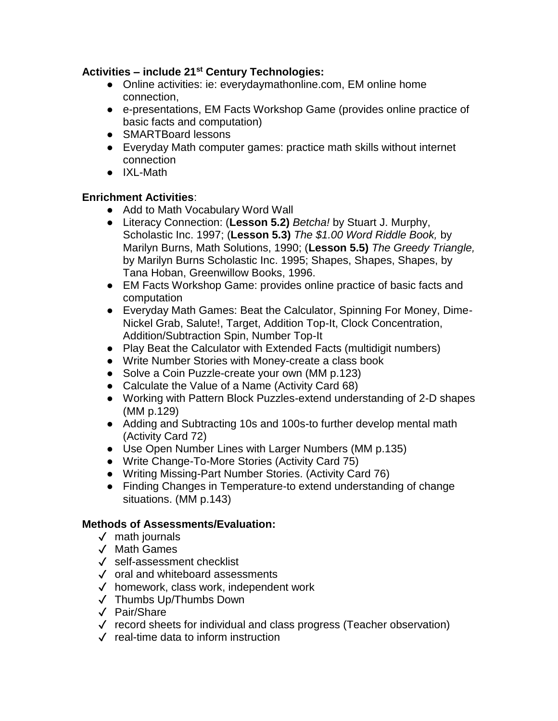- Online activities: ie: everydaymathonline.com, EM online home connection,
- e-presentations, EM Facts Workshop Game (provides online practice of basic facts and computation)
- SMARTBoard lessons
- Everyday Math computer games: practice math skills without internet connection
- IXL-Math

### **Enrichment Activities**:

- Add to Math Vocabulary Word Wall
- Literacy Connection: (**Lesson 5.2)** *Betcha!* by Stuart J. Murphy, Scholastic Inc. 1997; (**Lesson 5.3)** *The \$1.00 Word Riddle Book,* by Marilyn Burns, Math Solutions, 1990; (**Lesson 5.5)** *The Greedy Triangle,*  by Marilyn Burns Scholastic Inc. 1995; Shapes, Shapes, Shapes, by Tana Hoban, Greenwillow Books, 1996.
- EM Facts Workshop Game: provides online practice of basic facts and computation
- Everyday Math Games: Beat the Calculator, Spinning For Money, Dime-Nickel Grab, Salute!, Target, Addition Top-It, Clock Concentration, Addition/Subtraction Spin, Number Top-It
- Play Beat the Calculator with Extended Facts (multidigit numbers)
- Write Number Stories with Money-create a class book
- Solve a Coin Puzzle-create your own (MM p.123)
- Calculate the Value of a Name (Activity Card 68)
- Working with Pattern Block Puzzles-extend understanding of 2-D shapes (MM p.129)
- Adding and Subtracting 10s and 100s-to further develop mental math (Activity Card 72)
- Use Open Number Lines with Larger Numbers (MM p.135)
- Write Change-To-More Stories (Activity Card 75)
- Writing Missing-Part Number Stories. (Activity Card 76)
- Finding Changes in Temperature-to extend understanding of change situations. (MM p.143)

- ✓ math journals
- ✓ Math Games
- ✓ self-assessment checklist
- ✓ oral and whiteboard assessments
- ✓ homework, class work, independent work
- ✓ Thumbs Up/Thumbs Down
- ✓ Pair/Share
- ✓ record sheets for individual and class progress (Teacher observation)
- ✓ real-time data to inform instruction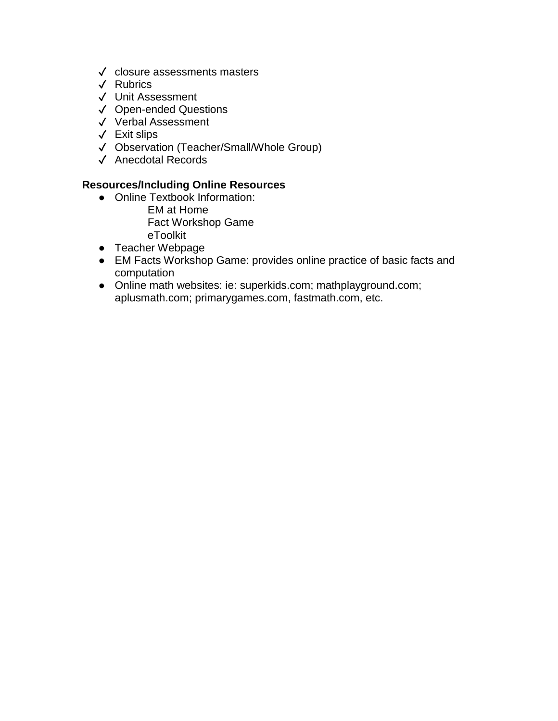- ✓ closure assessments masters
- ✓ Rubrics
- ✓ Unit Assessment
- ✓ Open-ended Questions
- ✓ Verbal Assessment
- ✓ Exit slips
- ✓ Observation (Teacher/Small/Whole Group)
- ✓ Anecdotal Records

- Online Textbook Information:
	- EM at Home Fact Workshop Game eToolkit
- Teacher Webpage
- EM Facts Workshop Game: provides online practice of basic facts and computation
- Online math websites: ie: superkids.com; mathplayground.com; aplusmath.com; primarygames.com, fastmath.com, etc.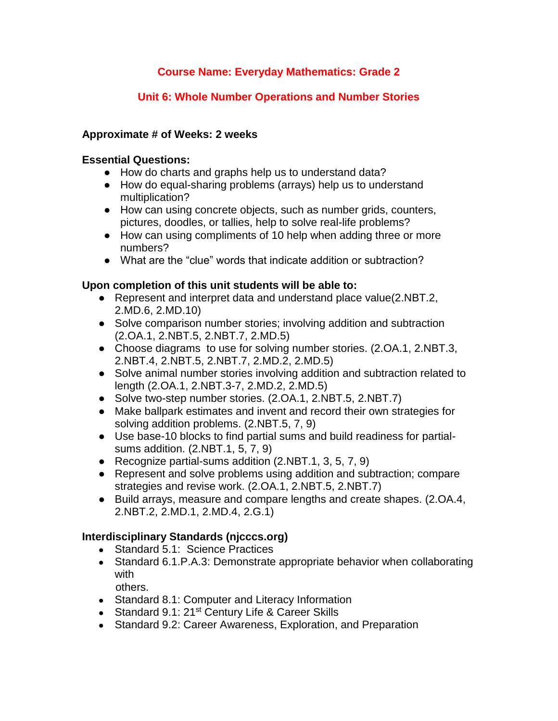# **Unit 6: Whole Number Operations and Number Stories**

### **Approximate # of Weeks: 2 weeks**

### **Essential Questions:**

- How do charts and graphs help us to understand data?
- How do equal-sharing problems (arrays) help us to understand multiplication?
- How can using concrete objects, such as number grids, counters, pictures, doodles, or tallies, help to solve real-life problems?
- How can using compliments of 10 help when adding three or more numbers?
- What are the "clue" words that indicate addition or subtraction?

### **Upon completion of this unit students will be able to:**

- Represent and interpret data and understand place value(2.NBT.2, 2.MD.6, 2.MD.10)
- Solve comparison number stories; involving addition and subtraction (2.OA.1, 2.NBT.5, 2.NBT.7, 2.MD.5)
- Choose diagrams to use for solving number stories. (2.OA.1, 2.NBT.3, 2.NBT.4, 2.NBT.5, 2.NBT.7, 2.MD.2, 2.MD.5)
- Solve animal number stories involving addition and subtraction related to length (2.OA.1, 2.NBT.3-7, 2.MD.2, 2.MD.5)
- Solve two-step number stories. (2.OA.1, 2.NBT.5, 2.NBT.7)
- Make ballpark estimates and invent and record their own strategies for solving addition problems. (2.NBT.5, 7, 9)
- Use base-10 blocks to find partial sums and build readiness for partialsums addition. (2.NBT.1, 5, 7, 9)
- Recognize partial-sums addition (2.NBT.1, 3, 5, 7, 9)
- Represent and solve problems using addition and subtraction; compare strategies and revise work. (2.OA.1, 2.NBT.5, 2.NBT.7)
- Build arrays, measure and compare lengths and create shapes. (2.OA.4, 2.NBT.2, 2.MD.1, 2.MD.4, 2.G.1)

- Standard 5.1: Science Practices
- Standard 6.1. P.A.3: Demonstrate appropriate behavior when collaborating with
	- others.
- Standard 8.1: Computer and Literacy Information
- Standard 9.1: 21<sup>st</sup> Century Life & Career Skills
- Standard 9.2: Career Awareness, Exploration, and Preparation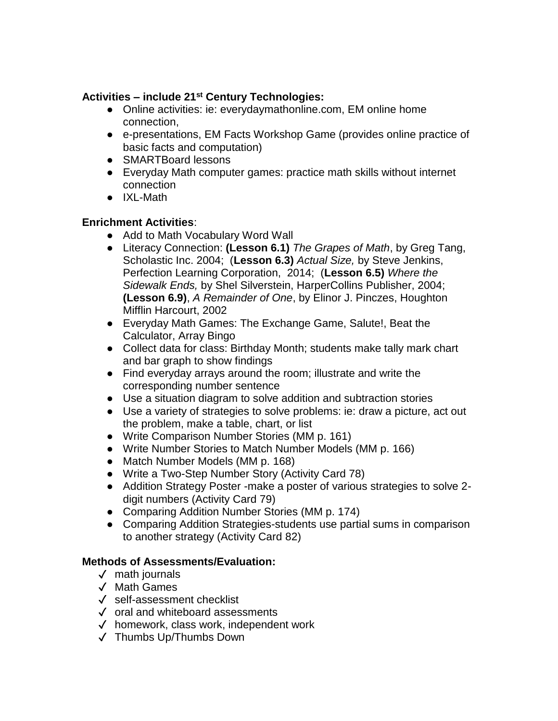- Online activities: ie: everydaymathonline.com, EM online home connection,
- e-presentations, EM Facts Workshop Game (provides online practice of basic facts and computation)
- SMARTBoard lessons
- Everyday Math computer games: practice math skills without internet connection
- IXL-Math

# **Enrichment Activities**:

- Add to Math Vocabulary Word Wall
- Literacy Connection: **(Lesson 6.1)** *The Grapes of Math*, by Greg Tang, Scholastic Inc. 2004; (**Lesson 6.3)** *Actual Size,* by Steve Jenkins, Perfection Learning Corporation, 2014; (**Lesson 6.5)** *Where the Sidewalk Ends,* by Shel Silverstein, HarperCollins Publisher, 2004; **(Lesson 6.9)**, *A Remainder of One*, by Elinor J. Pinczes, Houghton Mifflin Harcourt, 2002
- Everyday Math Games: The Exchange Game, Salute!, Beat the Calculator, Array Bingo
- Collect data for class: Birthday Month; students make tally mark chart and bar graph to show findings
- Find everyday arrays around the room; illustrate and write the corresponding number sentence
- Use a situation diagram to solve addition and subtraction stories
- Use a variety of strategies to solve problems: ie: draw a picture, act out the problem, make a table, chart, or list
- Write Comparison Number Stories (MM p. 161)
- Write Number Stories to Match Number Models (MM p. 166)
- Match Number Models (MM p. 168)
- Write a Two-Step Number Story (Activity Card 78)
- Addition Strategy Poster -make a poster of various strategies to solve 2 digit numbers (Activity Card 79)
- Comparing Addition Number Stories (MM p. 174)
- Comparing Addition Strategies-students use partial sums in comparison to another strategy (Activity Card 82)

- ✓ math journals
- ✓ Math Games
- ✓ self-assessment checklist
- ✓ oral and whiteboard assessments
- ✓ homework, class work, independent work
- ✓ Thumbs Up/Thumbs Down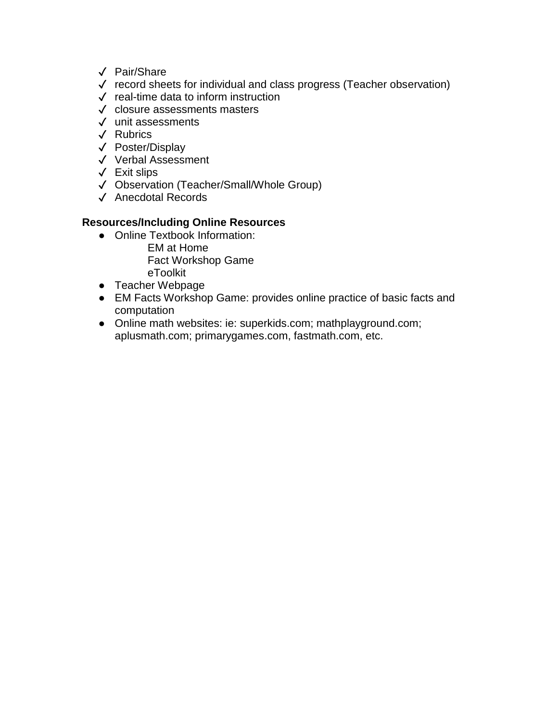- ✓ Pair/Share
- ✓ record sheets for individual and class progress (Teacher observation)
- ✓ real-time data to inform instruction
- ✓ closure assessments masters
- ✓ unit assessments
- ✓ Rubrics
- ✓ Poster/Display
- ✓ Verbal Assessment
- ✓ Exit slips
- ✓ Observation (Teacher/Small/Whole Group)
- ✓ Anecdotal Records

- Online Textbook Information: EM at Home
	- Fact Workshop Game
	- eToolkit
- Teacher Webpage
- EM Facts Workshop Game: provides online practice of basic facts and computation
- Online math websites: ie: superkids.com; mathplayground.com; aplusmath.com; primarygames.com, fastmath.com, etc.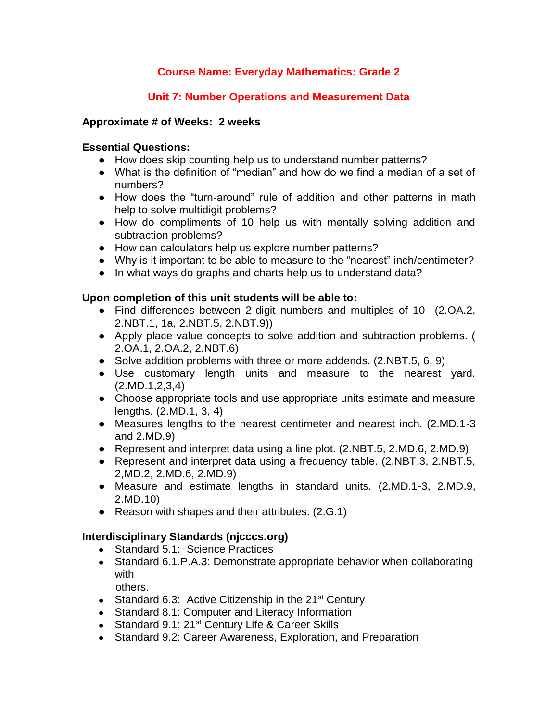# **Unit 7: Number Operations and Measurement Data**

### **Approximate # of Weeks: 2 weeks**

### **Essential Questions:**

- How does skip counting help us to understand number patterns?
- What is the definition of "median" and how do we find a median of a set of numbers?
- How does the "turn-around" rule of addition and other patterns in math help to solve multidigit problems?
- How do compliments of 10 help us with mentally solving addition and subtraction problems?
- How can calculators help us explore number patterns?
- Why is it important to be able to measure to the "nearest" inch/centimeter?
- In what ways do graphs and charts help us to understand data?

### **Upon completion of this unit students will be able to:**

- Find differences between 2-digit numbers and multiples of 10 (2.OA.2, 2.NBT.1, 1a, 2.NBT.5, 2.NBT.9))
- Apply place value concepts to solve addition and subtraction problems. ( 2.OA.1, 2.OA.2, 2.NBT.6)
- Solve addition problems with three or more addends. (2.NBT.5, 6, 9)
- Use customary length units and measure to the nearest yard. (2.MD.1,2,3,4)
- Choose appropriate tools and use appropriate units estimate and measure lengths. (2.MD.1, 3, 4)
- Measures lengths to the nearest centimeter and nearest inch. (2.MD.1-3 and 2.MD.9)
- Represent and interpret data using a line plot. (2.NBT.5, 2.MD.6, 2.MD.9)
- Represent and interpret data using a frequency table. (2.NBT.3, 2.NBT.5, 2,MD.2, 2.MD.6, 2.MD.9)
- Measure and estimate lengths in standard units. (2.MD.1-3, 2.MD.9, 2.MD.10)
- Reason with shapes and their attributes. (2.G.1)

- Standard 5.1: Science Practices
- Standard 6.1. P.A.3: Demonstrate appropriate behavior when collaborating with
	- others.
- Standard 6.3: Active Citizenship in the  $21<sup>st</sup>$  Century
- Standard 8.1: Computer and Literacy Information
- Standard 9.1: 21<sup>st</sup> Century Life & Career Skills
- Standard 9.2: Career Awareness, Exploration, and Preparation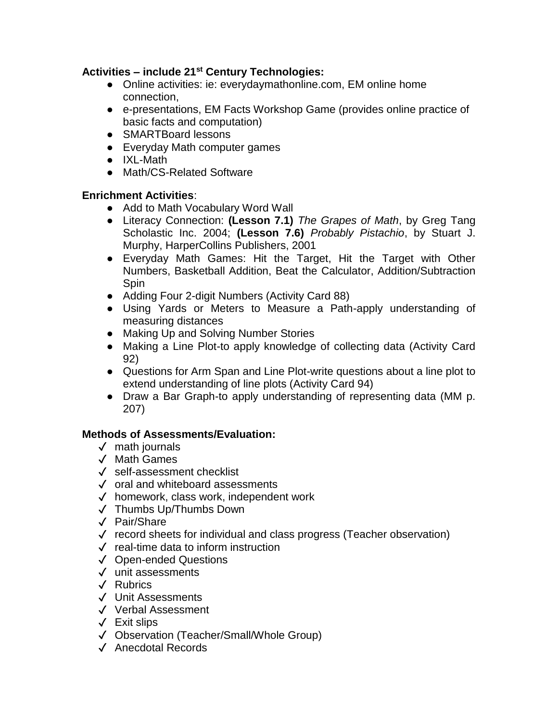- Online activities: ie: everydaymathonline.com, EM online home connection,
- e-presentations, EM Facts Workshop Game (provides online practice of basic facts and computation)
- SMARTBoard lessons
- Everyday Math computer games
- IXL-Math
- Math/CS-Related Software

# **Enrichment Activities**:

- Add to Math Vocabulary Word Wall
- Literacy Connection: **(Lesson 7.1)** *The Grapes of Math*, by Greg Tang Scholastic Inc. 2004; **(Lesson 7.6)** *Probably Pistachio*, by Stuart J. Murphy, HarperCollins Publishers, 2001
- Everyday Math Games: Hit the Target, Hit the Target with Other Numbers, Basketball Addition, Beat the Calculator, Addition/Subtraction Spin
- Adding Four 2-digit Numbers (Activity Card 88)
- Using Yards or Meters to Measure a Path-apply understanding of measuring distances
- Making Up and Solving Number Stories
- Making a Line Plot-to apply knowledge of collecting data (Activity Card 92)
- Questions for Arm Span and Line Plot-write questions about a line plot to extend understanding of line plots (Activity Card 94)
- Draw a Bar Graph-to apply understanding of representing data (MM p. 207)

- ✓ math journals
- ✓ Math Games
- ✓ self-assessment checklist
- ✓ oral and whiteboard assessments
- ✓ homework, class work, independent work
- ✓ Thumbs Up/Thumbs Down
- ✓ Pair/Share
- ✓ record sheets for individual and class progress (Teacher observation)
- ✓ real-time data to inform instruction
- ✓ Open-ended Questions
- ✓ unit assessments
- ✓ Rubrics
- ✓ Unit Assessments
- ✓ Verbal Assessment
- ✓ Exit slips
- ✓ Observation (Teacher/Small/Whole Group)
- ✓ Anecdotal Records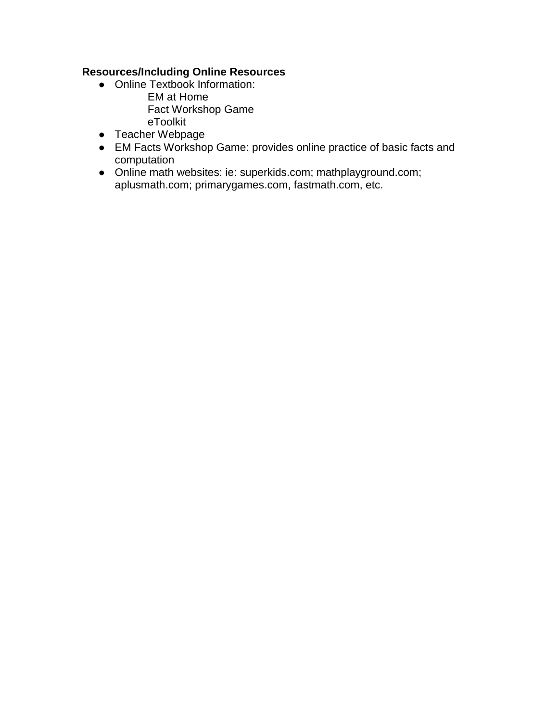- Online Textbook Information:
	- EM at Home Fact Workshop Game eToolkit
- Teacher Webpage
- EM Facts Workshop Game: provides online practice of basic facts and computation
- Online math websites: ie: superkids.com; mathplayground.com; aplusmath.com; primarygames.com, fastmath.com, etc.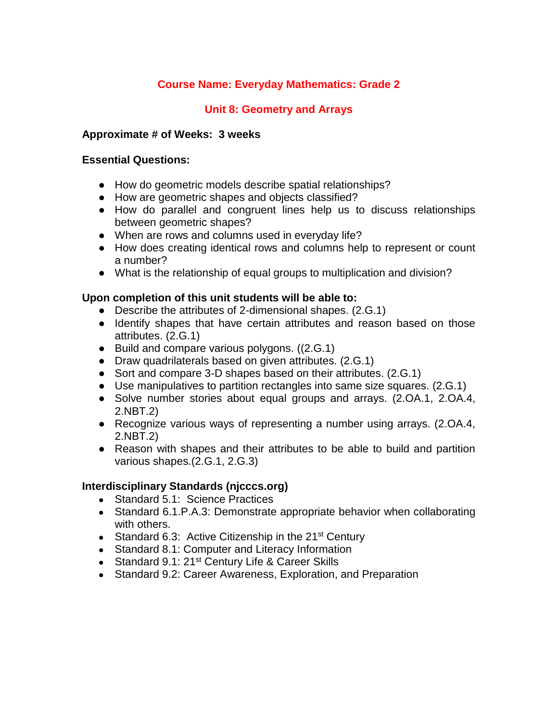### **Unit 8: Geometry and Arrays**

#### **Approximate # of Weeks: 3 weeks**

#### **Essential Questions:**

- How do geometric models describe spatial relationships?
- How are geometric shapes and objects classified?
- How do parallel and congruent lines help us to discuss relationships between geometric shapes?
- When are rows and columns used in everyday life?
- How does creating identical rows and columns help to represent or count a number?
- What is the relationship of equal groups to multiplication and division?

#### **Upon completion of this unit students will be able to:**

- Describe the attributes of 2-dimensional shapes. (2.G.1)
- Identify shapes that have certain attributes and reason based on those attributes. (2.G.1)
- Build and compare various polygons. ((2.G.1)
- Draw quadrilaterals based on given attributes. (2.G.1)
- Sort and compare 3-D shapes based on their attributes. (2.G.1)
- Use manipulatives to partition rectangles into same size squares. (2.G.1)
- Solve number stories about equal groups and arrays. (2.OA.1, 2.OA.4, 2.NBT.2)
- Recognize various ways of representing a number using arrays. (2.OA.4, 2.NBT.2)
- Reason with shapes and their attributes to be able to build and partition various shapes.(2.G.1, 2.G.3)

- Standard 5.1: Science Practices
- Standard 6.1. P.A.3: Demonstrate appropriate behavior when collaborating with others.
- Standard 6.3: Active Citizenship in the  $21^{st}$  Century
- Standard 8.1: Computer and Literacy Information
- Standard 9.1: 21<sup>st</sup> Century Life & Career Skills
- Standard 9.2: Career Awareness, Exploration, and Preparation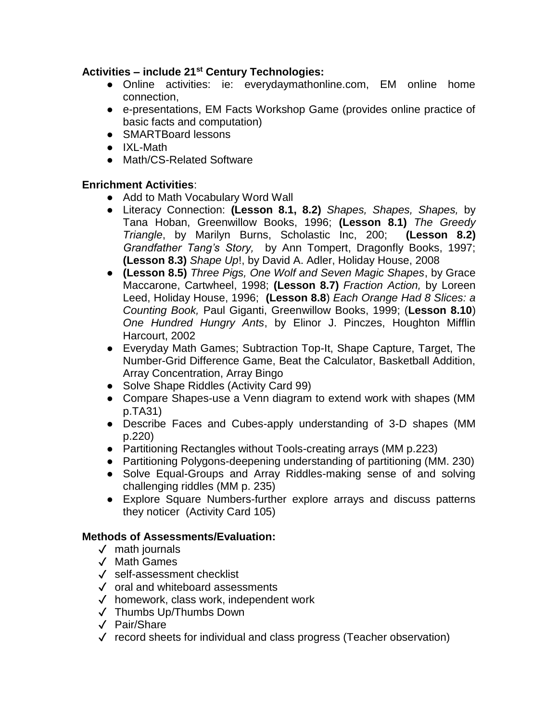- Online activities: ie: everydaymathonline.com, EM online home connection,
- e-presentations, EM Facts Workshop Game (provides online practice of basic facts and computation)
- SMARTBoard lessons
- IXL-Math
- Math/CS-Related Software

# **Enrichment Activities**:

- Add to Math Vocabulary Word Wall
- Literacy Connection: **(Lesson 8.1, 8.2)** *Shapes, Shapes, Shapes,* by Tana Hoban, Greenwillow Books, 1996; **(Lesson 8.1)** *The Greedy Triangle*, by Marilyn Burns, Scholastic Inc, 200; **(Lesson 8.2)**  *Grandfather Tang's Story,* by Ann Tompert, Dragonfly Books, 1997; **(Lesson 8.3)** *Shape Up*!, by David A. Adler, Holiday House, 2008
- **(Lesson 8.5)** *Three Pigs, One Wolf and Seven Magic Shapes*, by Grace Maccarone, Cartwheel, 1998; **(Lesson 8.7)** *Fraction Action,* by Loreen Leed, Holiday House, 1996; **(Lesson 8.8**) *Each Orange Had 8 Slices: a Counting Book,* Paul Giganti, Greenwillow Books, 1999; (**Lesson 8.10**) *One Hundred Hungry Ants*, by Elinor J. Pinczes, Houghton Mifflin Harcourt, 2002
- Everyday Math Games; Subtraction Top-It, Shape Capture, Target, The Number-Grid Difference Game, Beat the Calculator, Basketball Addition, Array Concentration, Array Bingo
- Solve Shape Riddles (Activity Card 99)
- Compare Shapes-use a Venn diagram to extend work with shapes (MM p.TA31)
- Describe Faces and Cubes-apply understanding of 3-D shapes (MM p.220)
- Partitioning Rectangles without Tools-creating arrays (MM p.223)
- Partitioning Polygons-deepening understanding of partitioning (MM. 230)
- Solve Equal-Groups and Array Riddles-making sense of and solving challenging riddles (MM p. 235)
- Explore Square Numbers-further explore arrays and discuss patterns they noticer (Activity Card 105)

- ✓ math journals
- ✓ Math Games
- ✓ self-assessment checklist
- ✓ oral and whiteboard assessments
- ✓ homework, class work, independent work
- ✓ Thumbs Up/Thumbs Down
- ✓ Pair/Share
- ✓ record sheets for individual and class progress (Teacher observation)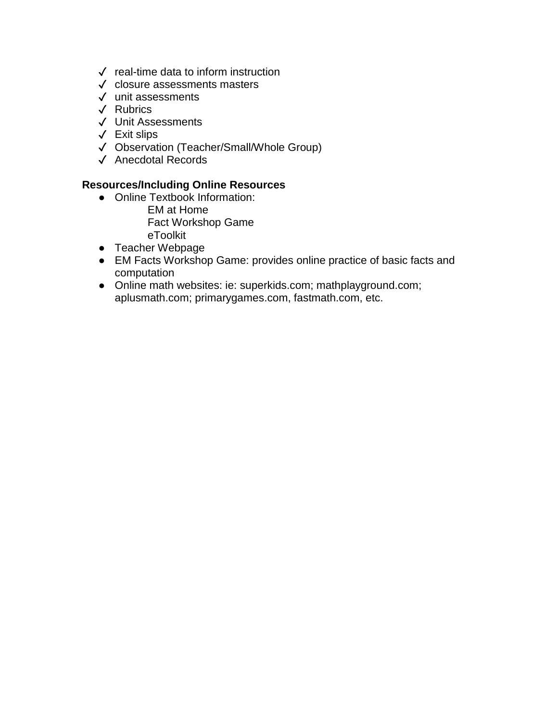- ✓ real-time data to inform instruction
- ✓ closure assessments masters
- ✓ unit assessments
- ✓ Rubrics
- ✓ Unit Assessments
- ✓ Exit slips
- ✓ Observation (Teacher/Small/Whole Group)
- ✓ Anecdotal Records

- Online Textbook Information:
	- EM at Home Fact Workshop Game eToolkit
- Teacher Webpage
- EM Facts Workshop Game: provides online practice of basic facts and computation
- Online math websites: ie: superkids.com; mathplayground.com; aplusmath.com; primarygames.com, fastmath.com, etc.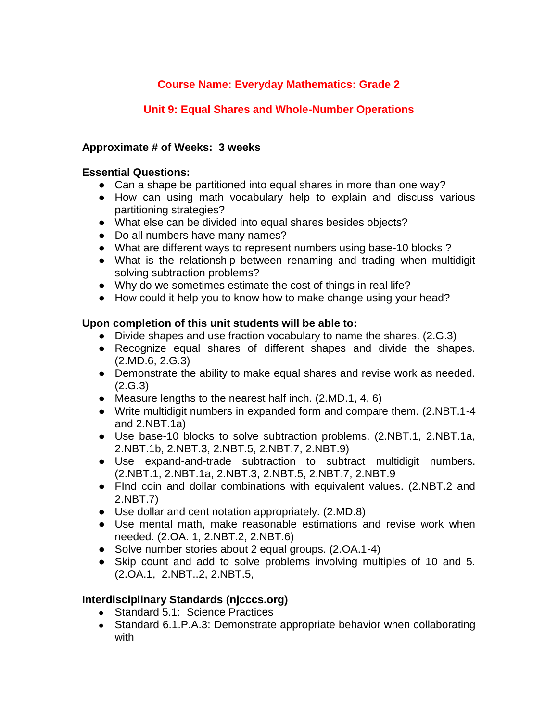# **Unit 9: Equal Shares and Whole-Number Operations**

## **Approximate # of Weeks: 3 weeks**

### **Essential Questions:**

- Can a shape be partitioned into equal shares in more than one way?
- How can using math vocabulary help to explain and discuss various partitioning strategies?
- What else can be divided into equal shares besides objects?
- Do all numbers have many names?
- What are different ways to represent numbers using base-10 blocks?
- What is the relationship between renaming and trading when multidigit solving subtraction problems?
- Why do we sometimes estimate the cost of things in real life?
- How could it help you to know how to make change using your head?

# **Upon completion of this unit students will be able to:**

- Divide shapes and use fraction vocabulary to name the shares. (2.G.3)
- Recognize equal shares of different shapes and divide the shapes. (2.MD.6, 2.G.3)
- Demonstrate the ability to make equal shares and revise work as needed. (2.G.3)
- Measure lengths to the nearest half inch. (2.MD.1, 4, 6)
- Write multidigit numbers in expanded form and compare them. (2.NBT.1-4 and 2.NBT.1a)
- Use base-10 blocks to solve subtraction problems. (2.NBT.1, 2.NBT.1a, 2.NBT.1b, 2.NBT.3, 2.NBT.5, 2.NBT.7, 2.NBT.9)
- Use expand-and-trade subtraction to subtract multidigit numbers. (2.NBT.1, 2.NBT.1a, 2.NBT.3, 2.NBT.5, 2.NBT.7, 2.NBT.9
- FInd coin and dollar combinations with equivalent values. (2.NBT.2 and 2.NBT.7)
- Use dollar and cent notation appropriately. (2.MD.8)
- Use mental math, make reasonable estimations and revise work when needed. (2.OA. 1, 2.NBT.2, 2.NBT.6)
- Solve number stories about 2 equal groups. (2.OA.1-4)
- Skip count and add to solve problems involving multiples of 10 and 5. (2.OA.1, 2.NBT..2, 2.NBT.5,

- Standard 5.1: Science Practices
- Standard 6.1. P.A.3: Demonstrate appropriate behavior when collaborating with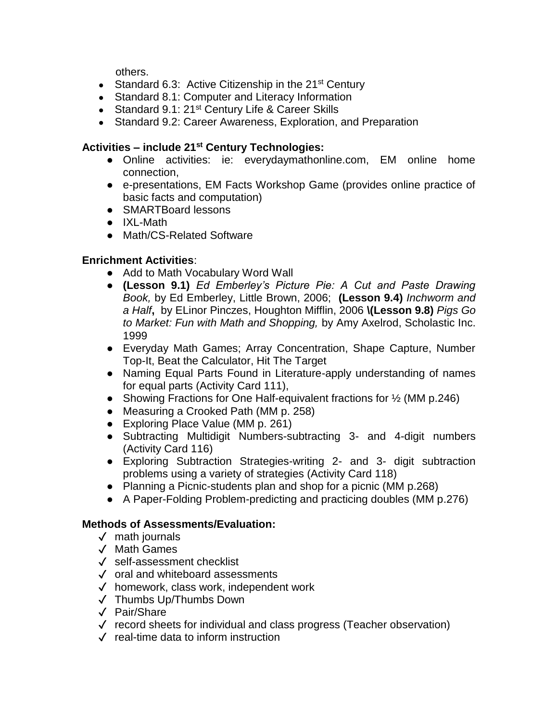others.

- Standard 6.3: Active Citizenship in the  $21^{st}$  Century
- Standard 8.1: Computer and Literacy Information
- Standard 9.1: 21<sup>st</sup> Century Life & Career Skills
- Standard 9.2: Career Awareness, Exploration, and Preparation

# **Activities – include 21st Century Technologies:**

- Online activities: ie: everydaymathonline.com, EM online home connection,
- e-presentations, EM Facts Workshop Game (provides online practice of basic facts and computation)
- SMARTBoard lessons
- IXL-Math
- Math/CS-Related Software

# **Enrichment Activities**:

- Add to Math Vocabulary Word Wall
- **(Lesson 9.1)** *Ed Emberley's Picture Pie: A Cut and Paste Drawing Book,* by Ed Emberley, Little Brown, 2006; **(Lesson 9.4)** *Inchworm and a Half***,** by ELinor Pinczes, Houghton Mifflin, 2006 **\(Lesson 9.8)** *Pigs Go to Market: Fun with Math and Shopping,* by Amy Axelrod, Scholastic Inc. 1999
- Everyday Math Games; Array Concentration, Shape Capture, Number Top-It, Beat the Calculator, Hit The Target
- Naming Equal Parts Found in Literature-apply understanding of names for equal parts (Activity Card 111),
- Showing Fractions for One Half-equivalent fractions for ½ (MM p.246)
- Measuring a Crooked Path (MM p. 258)
- Exploring Place Value (MM p. 261)
- Subtracting Multidigit Numbers-subtracting 3- and 4-digit numbers (Activity Card 116)
- Exploring Subtraction Strategies-writing 2- and 3- digit subtraction problems using a variety of strategies (Activity Card 118)
- Planning a Picnic-students plan and shop for a picnic (MM p.268)
- A Paper-Folding Problem-predicting and practicing doubles (MM p.276)

- ✓ math journals
- ✓ Math Games
- ✓ self-assessment checklist
- ✓ oral and whiteboard assessments
- ✓ homework, class work, independent work
- ✓ Thumbs Up/Thumbs Down
- ✓ Pair/Share
- ✓ record sheets for individual and class progress (Teacher observation)
- ✓ real-time data to inform instruction